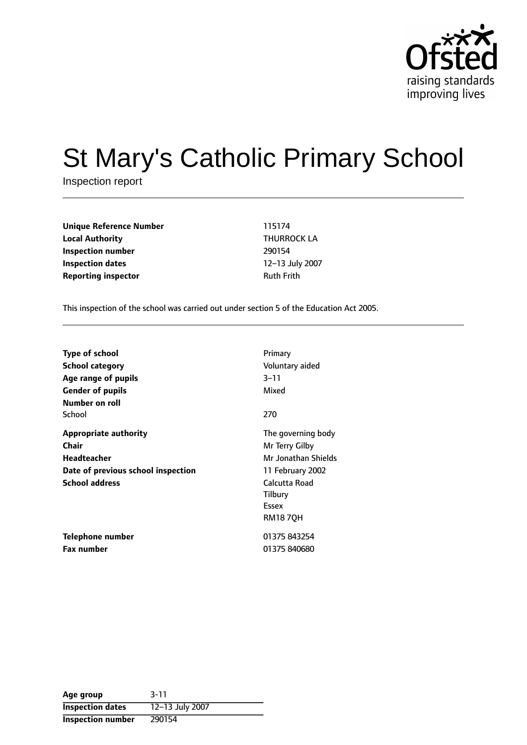

# St Mary's Catholic Primary School

Inspection report

**Unique Reference Number** 115174 **Local Authority** THURROCK LA **Inspection number** 290154 **Inspection dates** 12-13 July 2007 **Reporting inspector CONFIDENTIAL RUNAWAY RUTH RUTH RUTH** 

This inspection of the school was carried out under section 5 of the Education Act 2005.

| <b>Type of school</b><br>School category<br>Age range of pupils<br><b>Gender of pupils</b> | Primary<br>Voluntary aided<br>$3 - 11$<br>Mixed |
|--------------------------------------------------------------------------------------------|-------------------------------------------------|
| Number on roll<br>School                                                                   | 270                                             |
|                                                                                            |                                                 |
| <b>Appropriate authority</b>                                                               | The governing body                              |
| Chair                                                                                      | Mr Terry Gilby                                  |
| Headteacher                                                                                | Mr Jonathan Shields                             |
| Date of previous school inspection                                                         | 11 February 2002                                |
| <b>School address</b>                                                                      | Calcutta Road                                   |
|                                                                                            | Tilbury                                         |
|                                                                                            | Essex                                           |
|                                                                                            | <b>RM187QH</b>                                  |
| Telephone number                                                                           | 01375 843254                                    |
| <b>Fax number</b>                                                                          | 01375 840680                                    |

| Age group                | $3 - 11$        |
|--------------------------|-----------------|
| <b>Inspection dates</b>  | 12-13 July 2007 |
| <b>Inspection number</b> | 290154          |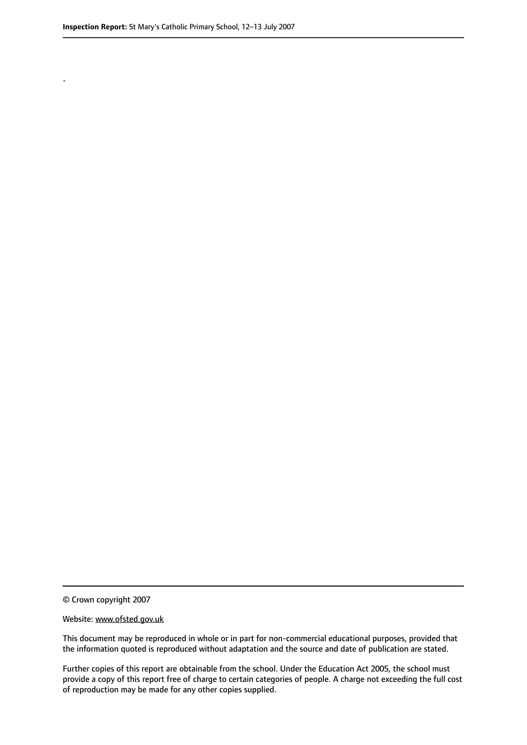.

© Crown copyright 2007

#### Website: www.ofsted.gov.uk

This document may be reproduced in whole or in part for non-commercial educational purposes, provided that the information quoted is reproduced without adaptation and the source and date of publication are stated.

Further copies of this report are obtainable from the school. Under the Education Act 2005, the school must provide a copy of this report free of charge to certain categories of people. A charge not exceeding the full cost of reproduction may be made for any other copies supplied.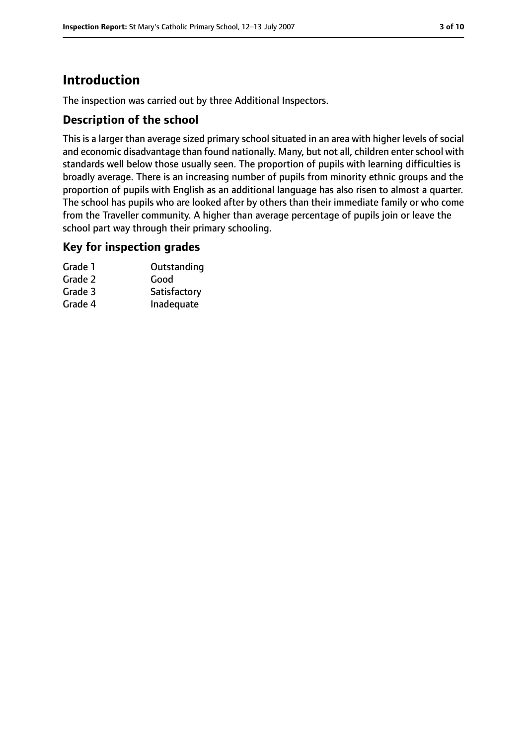# **Introduction**

The inspection was carried out by three Additional Inspectors.

## **Description of the school**

This is a larger than average sized primary school situated in an area with higher levels of social and economic disadvantage than found nationally. Many, but not all, children enter school with standards well below those usually seen. The proportion of pupils with learning difficulties is broadly average. There is an increasing number of pupils from minority ethnic groups and the proportion of pupils with English as an additional language has also risen to almost a quarter. The school has pupils who are looked after by others than their immediate family or who come from the Traveller community. A higher than average percentage of pupils join or leave the school part way through their primary schooling.

### **Key for inspection grades**

| Grade 1 | Outstanding  |
|---------|--------------|
| Grade 2 | Good         |
| Grade 3 | Satisfactory |
| Grade 4 | Inadequate   |
|         |              |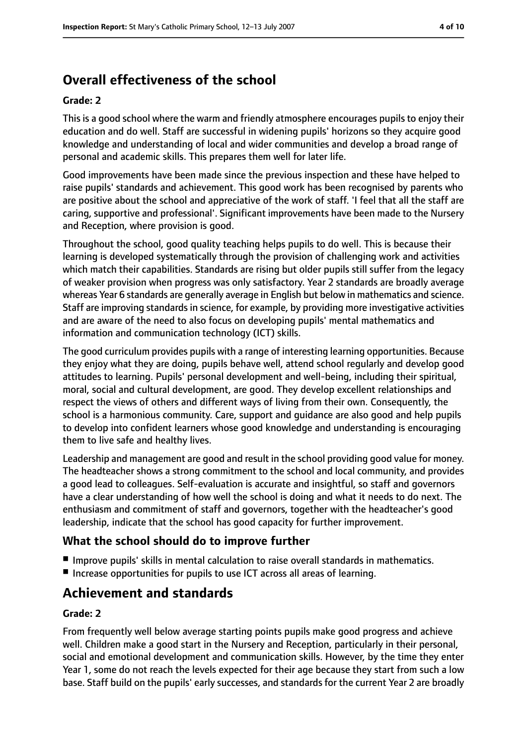# **Overall effectiveness of the school**

#### **Grade: 2**

This is a good school where the warm and friendly atmosphere encourages pupils to enjoy their education and do well. Staff are successful in widening pupils' horizons so they acquire good knowledge and understanding of local and wider communities and develop a broad range of personal and academic skills. This prepares them well for later life.

Good improvements have been made since the previous inspection and these have helped to raise pupils' standards and achievement. This good work has been recognised by parents who are positive about the school and appreciative of the work of staff. 'I feel that all the staff are caring, supportive and professional'. Significant improvements have been made to the Nursery and Reception, where provision is good.

Throughout the school, good quality teaching helps pupils to do well. This is because their learning is developed systematically through the provision of challenging work and activities which match their capabilities. Standards are rising but older pupils still suffer from the legacy of weaker provision when progress was only satisfactory. Year 2 standards are broadly average whereas Year 6 standards are generally average in English but below in mathematics and science. Staff are improving standards in science, for example, by providing more investigative activities and are aware of the need to also focus on developing pupils' mental mathematics and information and communication technology (ICT) skills.

The good curriculum provides pupils with a range of interesting learning opportunities. Because they enjoy what they are doing, pupils behave well, attend school regularly and develop good attitudes to learning. Pupils' personal development and well-being, including their spiritual, moral, social and cultural development, are good. They develop excellent relationships and respect the views of others and different ways of living from their own. Consequently, the school is a harmonious community. Care, support and guidance are also good and help pupils to develop into confident learners whose good knowledge and understanding is encouraging them to live safe and healthy lives.

Leadership and management are good and result in the school providing good value for money. The headteacher shows a strong commitment to the school and local community, and provides a good lead to colleagues. Self-evaluation is accurate and insightful, so staff and governors have a clear understanding of how well the school is doing and what it needs to do next. The enthusiasm and commitment of staff and governors, together with the headteacher's good leadership, indicate that the school has good capacity for further improvement.

## **What the school should do to improve further**

- Improve pupils' skills in mental calculation to raise overall standards in mathematics.
- Increase opportunities for pupils to use ICT across all areas of learning.

## **Achievement and standards**

#### **Grade: 2**

From frequently well below average starting points pupils make good progress and achieve well. Children make a good start in the Nursery and Reception, particularly in their personal, social and emotional development and communication skills. However, by the time they enter Year 1, some do not reach the levels expected for their age because they start from such a low base. Staff build on the pupils' early successes, and standards for the current Year 2 are broadly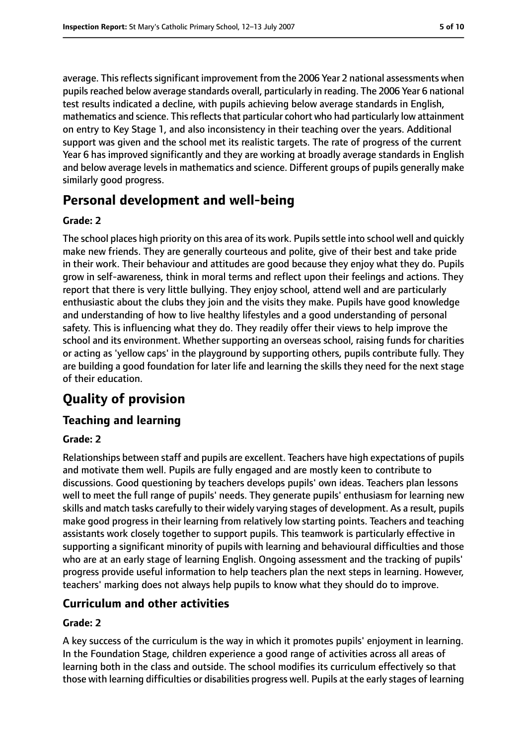average. This reflects significant improvement from the 2006 Year 2 national assessments when pupils reached below average standards overall, particularly in reading. The 2006 Year 6 national test results indicated a decline, with pupils achieving below average standards in English, mathematics and science. This reflects that particular cohort who had particularly low attainment on entry to Key Stage 1, and also inconsistency in their teaching over the years. Additional support was given and the school met its realistic targets. The rate of progress of the current Year 6 has improved significantly and they are working at broadly average standards in English and below average levels in mathematics and science. Different groups of pupils generally make similarly good progress.

# **Personal development and well-being**

### **Grade: 2**

The school places high priority on this area of its work. Pupils settle into school well and quickly make new friends. They are generally courteous and polite, give of their best and take pride in their work. Their behaviour and attitudes are good because they enjoy what they do. Pupils grow in self-awareness, think in moral terms and reflect upon their feelings and actions. They report that there is very little bullying. They enjoy school, attend well and are particularly enthusiastic about the clubs they join and the visits they make. Pupils have good knowledge and understanding of how to live healthy lifestyles and a good understanding of personal safety. This is influencing what they do. They readily offer their views to help improve the school and its environment. Whether supporting an overseas school, raising funds for charities or acting as 'yellow caps' in the playground by supporting others, pupils contribute fully. They are building a good foundation for later life and learning the skills they need for the next stage of their education.

# **Quality of provision**

## **Teaching and learning**

### **Grade: 2**

Relationships between staff and pupils are excellent. Teachers have high expectations of pupils and motivate them well. Pupils are fully engaged and are mostly keen to contribute to discussions. Good questioning by teachers develops pupils' own ideas. Teachers plan lessons well to meet the full range of pupils' needs. They generate pupils' enthusiasm for learning new skills and match tasks carefully to their widely varying stages of development. As a result, pupils make good progress in their learning from relatively low starting points. Teachers and teaching assistants work closely together to support pupils. This teamwork is particularly effective in supporting a significant minority of pupils with learning and behavioural difficulties and those who are at an early stage of learning English. Ongoing assessment and the tracking of pupils' progress provide useful information to help teachers plan the next steps in learning. However, teachers' marking does not always help pupils to know what they should do to improve.

## **Curriculum and other activities**

#### **Grade: 2**

A key success of the curriculum is the way in which it promotes pupils' enjoyment in learning. In the Foundation Stage, children experience a good range of activities across all areas of learning both in the class and outside. The school modifies its curriculum effectively so that those with learning difficulties or disabilities progress well. Pupils at the early stages of learning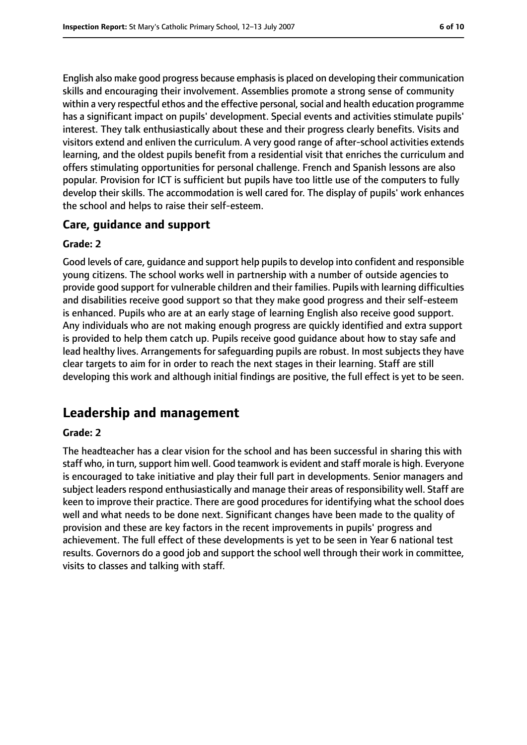English also make good progress because emphasisis placed on developing their communication skills and encouraging their involvement. Assemblies promote a strong sense of community within a very respectful ethos and the effective personal, social and health education programme has a significant impact on pupils' development. Special events and activities stimulate pupils' interest. They talk enthusiastically about these and their progress clearly benefits. Visits and visitors extend and enliven the curriculum. A very good range of after-school activities extends learning, and the oldest pupils benefit from a residential visit that enriches the curriculum and offers stimulating opportunities for personal challenge. French and Spanish lessons are also popular. Provision for ICT is sufficient but pupils have too little use of the computers to fully develop their skills. The accommodation is well cared for. The display of pupils' work enhances the school and helps to raise their self-esteem.

### **Care, guidance and support**

#### **Grade: 2**

Good levels of care, guidance and support help pupils to develop into confident and responsible young citizens. The school works well in partnership with a number of outside agencies to provide good support for vulnerable children and their families. Pupils with learning difficulties and disabilities receive good support so that they make good progress and their self-esteem is enhanced. Pupils who are at an early stage of learning English also receive good support. Any individuals who are not making enough progress are quickly identified and extra support is provided to help them catch up. Pupils receive good guidance about how to stay safe and lead healthy lives. Arrangements for safeguarding pupils are robust. In most subjects they have clear targets to aim for in order to reach the next stages in their learning. Staff are still developing this work and although initial findings are positive, the full effect is yet to be seen.

## **Leadership and management**

#### **Grade: 2**

The headteacher has a clear vision for the school and has been successful in sharing this with staff who, in turn, support him well. Good teamwork is evident and staff morale is high. Everyone is encouraged to take initiative and play their full part in developments. Senior managers and subject leaders respond enthusiastically and manage their areas of responsibility well. Staff are keen to improve their practice. There are good procedures for identifying what the school does well and what needs to be done next. Significant changes have been made to the quality of provision and these are key factors in the recent improvements in pupils' progress and achievement. The full effect of these developments is yet to be seen in Year 6 national test results. Governors do a good job and support the school well through their work in committee, visits to classes and talking with staff.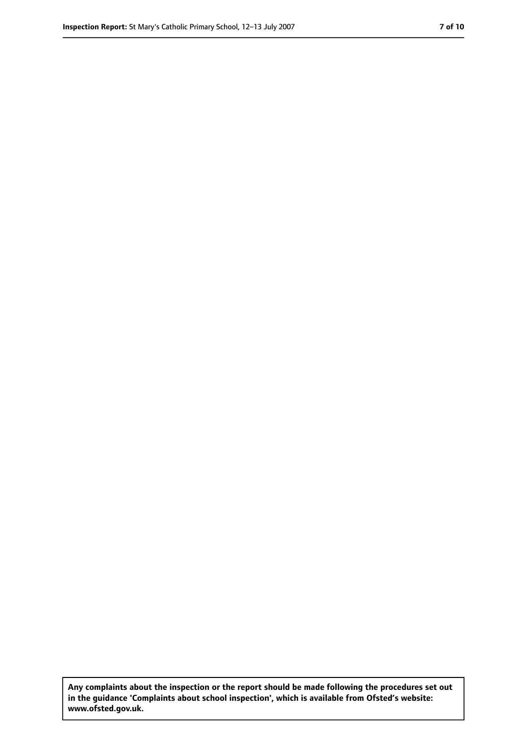**Any complaints about the inspection or the report should be made following the procedures set out in the guidance 'Complaints about school inspection', which is available from Ofsted's website: www.ofsted.gov.uk.**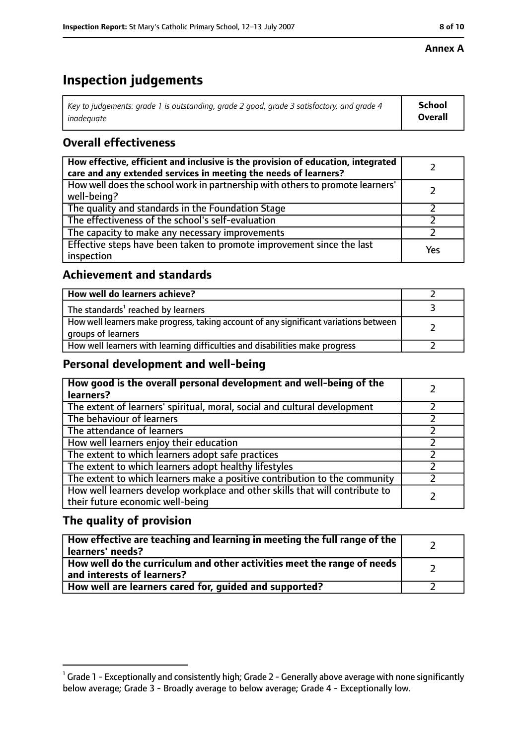#### **Annex A**

# **Inspection judgements**

| Key to judgements: grade 1 is outstanding, grade 2 good, grade 3 satisfactory, and grade 4 $\,$ | <b>School</b>  |
|-------------------------------------------------------------------------------------------------|----------------|
| inadequate                                                                                      | <b>Overall</b> |

## **Overall effectiveness**

| How effective, efficient and inclusive is the provision of education, integrated<br>care and any extended services in meeting the needs of learners? |     |
|------------------------------------------------------------------------------------------------------------------------------------------------------|-----|
| How well does the school work in partnership with others to promote learners'<br>well-being?                                                         |     |
| The quality and standards in the Foundation Stage                                                                                                    |     |
| The effectiveness of the school's self-evaluation                                                                                                    |     |
| The capacity to make any necessary improvements                                                                                                      |     |
| Effective steps have been taken to promote improvement since the last<br>inspection                                                                  | Yes |

## **Achievement and standards**

| How well do learners achieve?                                                                               |  |
|-------------------------------------------------------------------------------------------------------------|--|
| The standards <sup>1</sup> reached by learners                                                              |  |
| How well learners make progress, taking account of any significant variations between<br>groups of learners |  |
| How well learners with learning difficulties and disabilities make progress                                 |  |

## **Personal development and well-being**

| How good is the overall personal development and well-being of the<br>learners?                                  |  |
|------------------------------------------------------------------------------------------------------------------|--|
| The extent of learners' spiritual, moral, social and cultural development                                        |  |
| The behaviour of learners                                                                                        |  |
| The attendance of learners                                                                                       |  |
| How well learners enjoy their education                                                                          |  |
| The extent to which learners adopt safe practices                                                                |  |
| The extent to which learners adopt healthy lifestyles                                                            |  |
| The extent to which learners make a positive contribution to the community                                       |  |
| How well learners develop workplace and other skills that will contribute to<br>their future economic well-being |  |

## **The quality of provision**

| How effective are teaching and learning in meeting the full range of the<br>learners' needs?          |  |
|-------------------------------------------------------------------------------------------------------|--|
| How well do the curriculum and other activities meet the range of needs<br>and interests of learners? |  |
| How well are learners cared for, guided and supported?                                                |  |

 $^1$  Grade 1 - Exceptionally and consistently high; Grade 2 - Generally above average with none significantly below average; Grade 3 - Broadly average to below average; Grade 4 - Exceptionally low.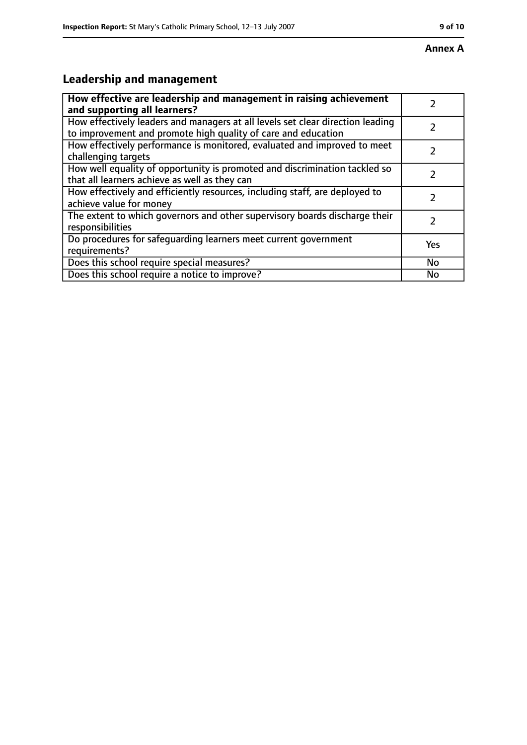# **Leadership and management**

| How effective are leadership and management in raising achievement<br>and supporting all learners?                                              |     |
|-------------------------------------------------------------------------------------------------------------------------------------------------|-----|
| How effectively leaders and managers at all levels set clear direction leading<br>to improvement and promote high quality of care and education |     |
| How effectively performance is monitored, evaluated and improved to meet<br>challenging targets                                                 |     |
| How well equality of opportunity is promoted and discrimination tackled so<br>that all learners achieve as well as they can                     |     |
| How effectively and efficiently resources, including staff, are deployed to<br>achieve value for money                                          | 7   |
| The extent to which governors and other supervisory boards discharge their<br>responsibilities                                                  | 7   |
| Do procedures for safequarding learners meet current government<br>requirements?                                                                | Yes |
| Does this school require special measures?                                                                                                      | No  |
| Does this school require a notice to improve?                                                                                                   | No  |